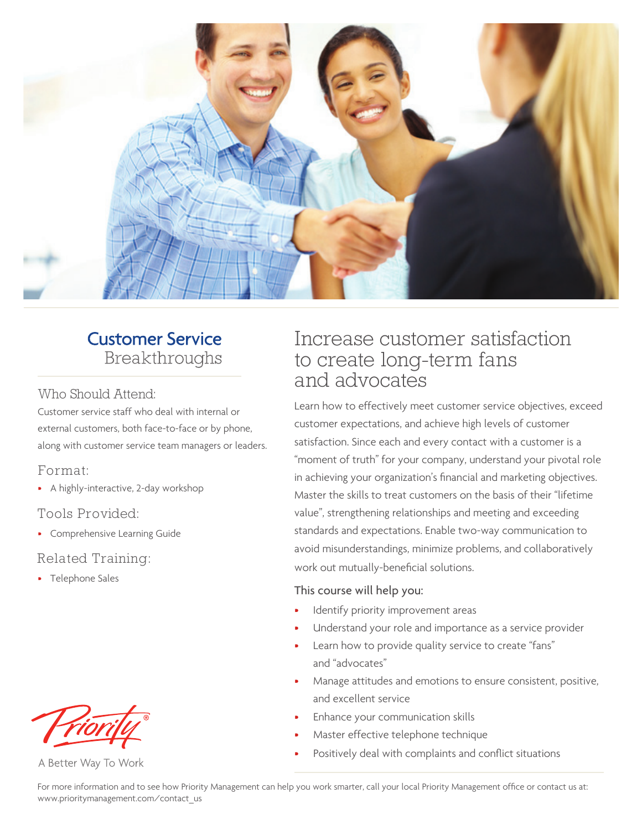

### **Customer Service** Breakthroughs

#### Who Should Attend:

Customer service staff who deal with internal or external customers, both face-to-face or by phone, along with customer service team managers or leaders.

### Format:

• A highly-interactive, 2-day workshop

### Tools Provided:

• Comprehensive Learning Guide

### Related Training:

• Telephone Sales



A Better Way To Work

### Increase customer satisfaction to create long-term fans and advocates

Learn how to effectively meet customer service objectives, exceed customer expectations, and achieve high levels of customer satisfaction. Since each and every contact with a customer is a "moment of truth" for your company, understand your pivotal role in achieving your organization's financial and marketing objectives. Master the skills to treat customers on the basis of their "lifetime value", strengthening relationships and meeting and exceeding standards and expectations. Enable two-way communication to avoid misunderstandings, minimize problems, and collaboratively work out mutually-beneficial solutions.

### This course will help you:

- Identify priority improvement areas
- Understand your role and importance as a service provider
- Learn how to provide quality service to create "fans" and "advocates"
- Manage attitudes and emotions to ensure consistent, positive, and excellent service
- Enhance your communication skills
- Master effective telephone technique
- Positively deal with complaints and conflict situations

For more information and to see how Priority Management can help you work smarter, call your local Priority Management office or contact us at: www.prioritymanagement.com/contact\_us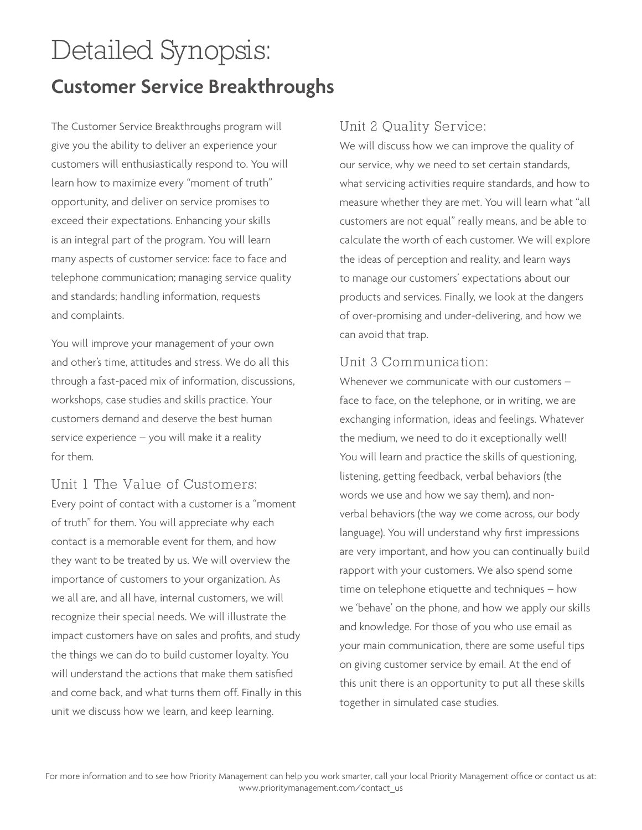# Detailed Synopsis: **Customer Service Breakthroughs**

The Customer Service Breakthroughs program will give you the ability to deliver an experience your customers will enthusiastically respond to. You will learn how to maximize every "moment of truth" opportunity, and deliver on service promises to exceed their expectations. Enhancing your skills is an integral part of the program. You will learn many aspects of customer service: face to face and telephone communication; managing service quality and standards; handling information, requests and complaints.

You will improve your management of your own and other's time, attitudes and stress. We do all this through a fast-paced mix of information, discussions, workshops, case studies and skills practice. Your customers demand and deserve the best human service experience – you will make it a reality for them.

Unit 1 The Value of Customers: Every point of contact with a customer is a "moment of truth" for them. You will appreciate why each contact is a memorable event for them, and how they want to be treated by us. We will overview the importance of customers to your organization. As we all are, and all have, internal customers, we will recognize their special needs. We will illustrate the impact customers have on sales and profits, and study the things we can do to build customer loyalty. You will understand the actions that make them satisfied and come back, and what turns them off. Finally in this unit we discuss how we learn, and keep learning.

### Unit 2 Quality Service:

We will discuss how we can improve the quality of our service, why we need to set certain standards, what servicing activities require standards, and how to measure whether they are met. You will learn what "all customers are not equal" really means, and be able to calculate the worth of each customer. We will explore the ideas of perception and reality, and learn ways to manage our customers' expectations about our products and services. Finally, we look at the dangers of over-promising and under-delivering, and how we can avoid that trap.

### Unit 3 Communication:

Whenever we communicate with our customers – face to face, on the telephone, or in writing, we are exchanging information, ideas and feelings. Whatever the medium, we need to do it exceptionally well! You will learn and practice the skills of questioning, listening, getting feedback, verbal behaviors (the words we use and how we say them), and nonverbal behaviors (the way we come across, our body language). You will understand why first impressions are very important, and how you can continually build rapport with your customers. We also spend some time on telephone etiquette and techniques – how we 'behave' on the phone, and how we apply our skills and knowledge. For those of you who use email as your main communication, there are some useful tips on giving customer service by email. At the end of this unit there is an opportunity to put all these skills together in simulated case studies.